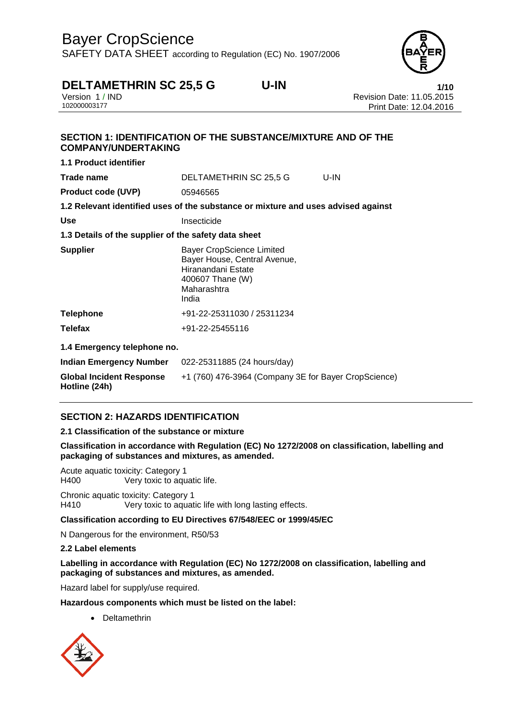SAFETY DATA SHEET according to Regulation (EC) No. 1907/2006



# **DELTAMETHRIN SC 25,5 G U-IN**<br>Version 1/IND **Revision Date: 11.05.2015**

Version 1 / IND<br>10200003177<br>Print Date: 12 04 2016 Print Date: 12.04.2016

# **SECTION 1: IDENTIFICATION OF THE SUBSTANCE/MIXTURE AND OF THE COMPANY/UNDERTAKING 1.1 Product identifier**

| <b>Trade name</b>                                    | DELTAMETHRIN SC 25,5 G                                                                                                             | U-IN |  |
|------------------------------------------------------|------------------------------------------------------------------------------------------------------------------------------------|------|--|
| <b>Product code (UVP)</b>                            | 05946565                                                                                                                           |      |  |
|                                                      | 1.2 Relevant identified uses of the substance or mixture and uses advised against                                                  |      |  |
| <b>Use</b>                                           | Insecticide                                                                                                                        |      |  |
| 1.3 Details of the supplier of the safety data sheet |                                                                                                                                    |      |  |
| <b>Supplier</b>                                      | <b>Bayer CropScience Limited</b><br>Bayer House, Central Avenue,<br>Hiranandani Estate<br>400607 Thane (W)<br>Maharashtra<br>India |      |  |
| <b>Telephone</b>                                     | +91-22-25311030 / 25311234                                                                                                         |      |  |
| <b>Telefax</b>                                       | +91-22-25455116                                                                                                                    |      |  |
| 1.4 Emergency telephone no.                          |                                                                                                                                    |      |  |
| Indian Emergency Number                              | 022-25311885 (24 hours/day)                                                                                                        |      |  |
| <b>Global Incident Response</b><br>Hotline (24h)     | +1 (760) 476-3964 (Company 3E for Bayer CropScience)                                                                               |      |  |

## **SECTION 2: HAZARDS IDENTIFICATION**

#### **2.1 Classification of the substance or mixture**

**Classification in accordance with Regulation (EC) No 1272/2008 on classification, labelling and packaging of substances and mixtures, as amended.**

Acute aquatic toxicity: Category 1 H400 Very toxic to aquatic life.

Chronic aquatic toxicity: Category 1 H410 Very toxic to aquatic life with long lasting effects.

#### **Classification according to EU Directives 67/548/EEC or 1999/45/EC**

N Dangerous for the environment, R50/53

#### **2.2 Label elements**

**Labelling in accordance with Regulation (EC) No 1272/2008 on classification, labelling and packaging of substances and mixtures, as amended.**

Hazard label for supply/use required.

#### **Hazardous components which must be listed on the label:**

Deltamethrin

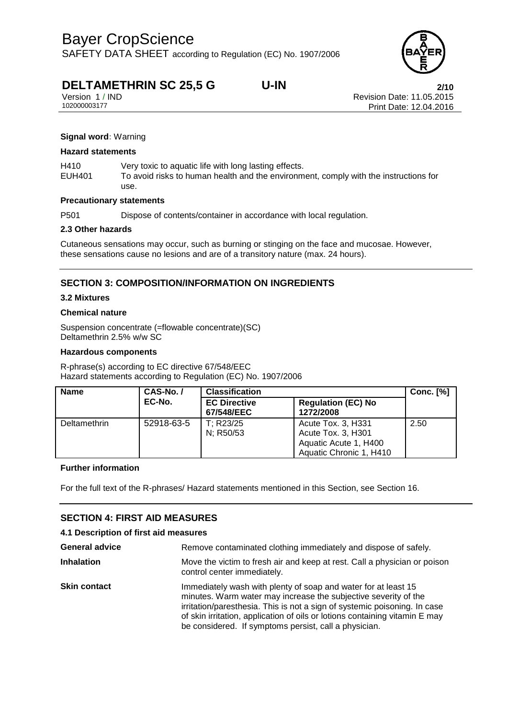SAFETY DATA SHEET according to Regulation (EC) No. 1907/2006

# **DELTAMETHRIN SC 25,5 G U-IN**<br>Version 1/IND **Properties A CONTROVER 2/10**<br>Revision Date: 11.05.2015

Version 1 / IND<br>10200003177<br>Print Date: 12 04 2016 Print Date: 12.04.2016

#### **Signal word:** Warning

#### **Hazard statements**

H410 Very toxic to aquatic life with long lasting effects.

EUH401 To avoid risks to human health and the environment, comply with the instructions for use.

#### **Precautionary statements**

P501 Dispose of contents/container in accordance with local regulation.

#### **2.3 Other hazards**

Cutaneous sensations may occur, such as burning or stinging on the face and mucosae. However, these sensations cause no lesions and are of a transitory nature (max. 24 hours).

### **SECTION 3: COMPOSITION/INFORMATION ON INGREDIENTS**

#### **3.2 Mixtures**

#### **Chemical nature**

Suspension concentrate (=flowable concentrate)(SC) Deltamethrin 2.5% w/w SC

#### **Hazardous components**

R-phrase(s) according to EC directive 67/548/EEC Hazard statements according to Regulation (EC) No. 1907/2006

| <b>Name</b>         | CAS-No./   | <b>Classification</b>             |                                                                                              | Conc. $[\%]$ |
|---------------------|------------|-----------------------------------|----------------------------------------------------------------------------------------------|--------------|
| EC-No.              |            | <b>EC Directive</b><br>67/548/EEC | <b>Regulation (EC) No</b><br>1272/2008                                                       |              |
| <b>Deltamethrin</b> | 52918-63-5 | T; R23/25<br>N; R50/53            | Acute Tox. 3, H331<br>Acute Tox. 3, H301<br>Aquatic Acute 1, H400<br>Aquatic Chronic 1, H410 | 2.50         |

#### **Further information**

For the full text of the R-phrases/ Hazard statements mentioned in this Section, see Section 16.

### **SECTION 4: FIRST AID MEASURES**

| 4.1 Description of first aid measures |                                                                                                                                                                                                                                                                                                                                                        |  |
|---------------------------------------|--------------------------------------------------------------------------------------------------------------------------------------------------------------------------------------------------------------------------------------------------------------------------------------------------------------------------------------------------------|--|
| <b>General advice</b>                 | Remove contaminated clothing immediately and dispose of safely.                                                                                                                                                                                                                                                                                        |  |
| <b>Inhalation</b>                     | Move the victim to fresh air and keep at rest. Call a physician or poison<br>control center immediately.                                                                                                                                                                                                                                               |  |
| <b>Skin contact</b>                   | Immediately wash with plenty of soap and water for at least 15<br>minutes. Warm water may increase the subjective severity of the<br>irritation/paresthesia. This is not a sign of systemic poisoning. In case<br>of skin irritation, application of oils or lotions containing vitamin E may<br>be considered. If symptoms persist, call a physician. |  |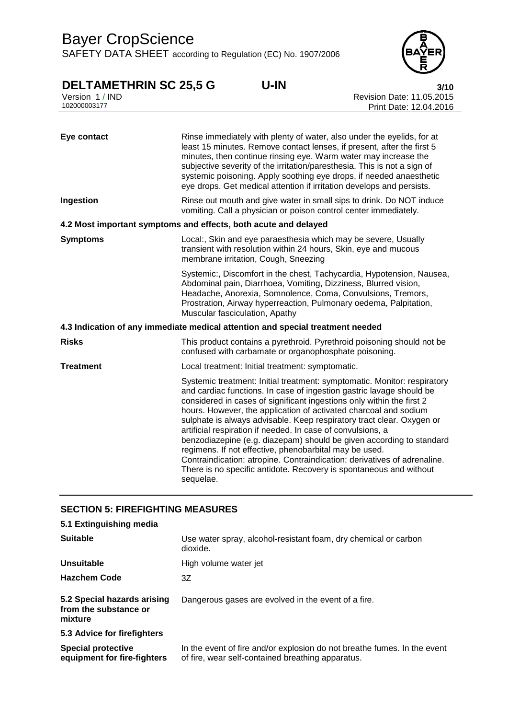SAFETY DATA SHEET according to Regulation (EC) No. 1907/2006



# **DELTAMETHRIN SC 25,5 G U-IN 3/10**

Version 1 / IND Revision Date: 11.05.2015 102000003177 Print Date: 12.04.2016

| Eye contact      | Rinse immediately with plenty of water, also under the eyelids, for at<br>least 15 minutes. Remove contact lenses, if present, after the first 5<br>minutes, then continue rinsing eye. Warm water may increase the<br>subjective severity of the irritation/paresthesia. This is not a sign of<br>systemic poisoning. Apply soothing eye drops, if needed anaesthetic<br>eye drops. Get medical attention if irritation develops and persists.                                                                                                                                                                                                                                                                                        |
|------------------|----------------------------------------------------------------------------------------------------------------------------------------------------------------------------------------------------------------------------------------------------------------------------------------------------------------------------------------------------------------------------------------------------------------------------------------------------------------------------------------------------------------------------------------------------------------------------------------------------------------------------------------------------------------------------------------------------------------------------------------|
| Ingestion        | Rinse out mouth and give water in small sips to drink. Do NOT induce<br>vomiting. Call a physician or poison control center immediately.                                                                                                                                                                                                                                                                                                                                                                                                                                                                                                                                                                                               |
|                  | 4.2 Most important symptoms and effects, both acute and delayed                                                                                                                                                                                                                                                                                                                                                                                                                                                                                                                                                                                                                                                                        |
| <b>Symptoms</b>  | Local:, Skin and eye paraesthesia which may be severe, Usually<br>transient with resolution within 24 hours, Skin, eye and mucous<br>membrane irritation, Cough, Sneezing                                                                                                                                                                                                                                                                                                                                                                                                                                                                                                                                                              |
|                  | Systemic:, Discomfort in the chest, Tachycardia, Hypotension, Nausea,<br>Abdominal pain, Diarrhoea, Vomiting, Dizziness, Blurred vision,<br>Headache, Anorexia, Somnolence, Coma, Convulsions, Tremors,<br>Prostration, Airway hyperreaction, Pulmonary oedema, Palpitation,<br>Muscular fasciculation, Apathy                                                                                                                                                                                                                                                                                                                                                                                                                         |
|                  | 4.3 Indication of any immediate medical attention and special treatment needed                                                                                                                                                                                                                                                                                                                                                                                                                                                                                                                                                                                                                                                         |
| <b>Risks</b>     | This product contains a pyrethroid. Pyrethroid poisoning should not be<br>confused with carbamate or organophosphate poisoning.                                                                                                                                                                                                                                                                                                                                                                                                                                                                                                                                                                                                        |
| <b>Treatment</b> | Local treatment: Initial treatment: symptomatic.                                                                                                                                                                                                                                                                                                                                                                                                                                                                                                                                                                                                                                                                                       |
|                  | Systemic treatment: Initial treatment: symptomatic. Monitor: respiratory<br>and cardiac functions. In case of ingestion gastric lavage should be<br>considered in cases of significant ingestions only within the first 2<br>hours. However, the application of activated charcoal and sodium<br>sulphate is always advisable. Keep respiratory tract clear. Oxygen or<br>artificial respiration if needed. In case of convulsions, a<br>benzodiazepine (e.g. diazepam) should be given according to standard<br>regimens. If not effective, phenobarbital may be used.<br>Contraindication: atropine. Contraindication: derivatives of adrenaline.<br>There is no specific antidote. Recovery is spontaneous and without<br>sequelae. |

## **SECTION 5: FIREFIGHTING MEASURES**

| 5.1 Extinguishing media                                         |                                                                                                                               |
|-----------------------------------------------------------------|-------------------------------------------------------------------------------------------------------------------------------|
| <b>Suitable</b>                                                 | Use water spray, alcohol-resistant foam, dry chemical or carbon<br>dioxide.                                                   |
| Unsuitable                                                      | High volume water jet                                                                                                         |
| <b>Hazchem Code</b>                                             | 3Ζ                                                                                                                            |
| 5.2 Special hazards arising<br>from the substance or<br>mixture | Dangerous gases are evolved in the event of a fire.                                                                           |
| 5.3 Advice for firefighters                                     |                                                                                                                               |
| <b>Special protective</b><br>equipment for fire-fighters        | In the event of fire and/or explosion do not breathe fumes. In the event<br>of fire, wear self-contained breathing apparatus. |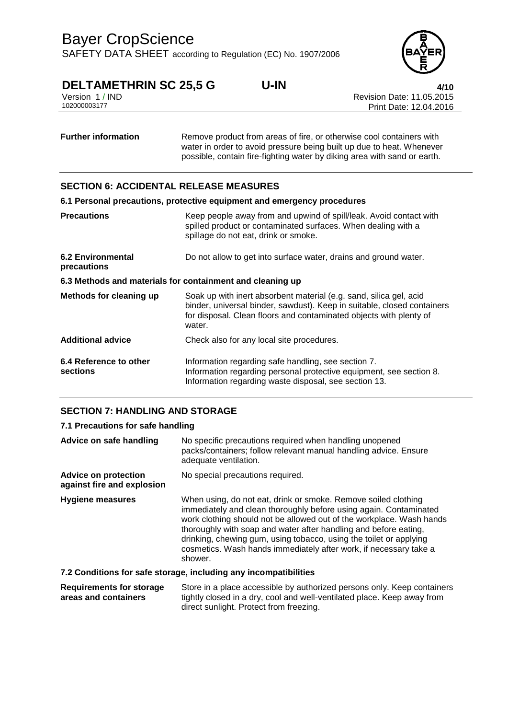

# **DELTAMETHRIN SC 25,5 G U-IN**<br>Version 1/IND **4/10**<br>Revision Date: 11.05.2015

Version 1 / IND Revision Date: 11.05.2015 Print Date: 12.04.2016

| <b>Further information</b> | Remove product from areas of fire, or otherwise cool containers with     |
|----------------------------|--------------------------------------------------------------------------|
|                            | water in order to avoid pressure being built up due to heat. Whenever    |
|                            | possible, contain fire-fighting water by diking area with sand or earth. |

### **SECTION 6: ACCIDENTAL RELEASE MEASURES**

|                                                           | 6.1 Personal precautions, protective equipment and emergency procedures                                                                                                                                                       |
|-----------------------------------------------------------|-------------------------------------------------------------------------------------------------------------------------------------------------------------------------------------------------------------------------------|
| <b>Precautions</b>                                        | Keep people away from and upwind of spill/leak. Avoid contact with<br>spilled product or contaminated surfaces. When dealing with a<br>spillage do not eat, drink or smoke.                                                   |
| <b>6.2 Environmental</b><br>precautions                   | Do not allow to get into surface water, drains and ground water.                                                                                                                                                              |
| 6.3 Methods and materials for containment and cleaning up |                                                                                                                                                                                                                               |
| <b>Methods for cleaning up</b>                            | Soak up with inert absorbent material (e.g. sand, silica gel, acid<br>binder, universal binder, sawdust). Keep in suitable, closed containers<br>for disposal. Clean floors and contaminated objects with plenty of<br>water. |
| <b>Additional advice</b>                                  | Check also for any local site procedures.                                                                                                                                                                                     |
| 6.4 Reference to other<br>sections                        | Information regarding safe handling, see section 7.<br>Information regarding personal protective equipment, see section 8.<br>Information regarding waste disposal, see section 13.                                           |

### **SECTION 7: HANDLING AND STORAGE**

| 7.1 Precautions for safe handling                         |                                                                                                                                                                                                                                                                                                                                                                                                                                       |
|-----------------------------------------------------------|---------------------------------------------------------------------------------------------------------------------------------------------------------------------------------------------------------------------------------------------------------------------------------------------------------------------------------------------------------------------------------------------------------------------------------------|
| Advice on safe handling                                   | No specific precautions required when handling unopened<br>packs/containers; follow relevant manual handling advice. Ensure<br>adequate ventilation.                                                                                                                                                                                                                                                                                  |
| <b>Advice on protection</b><br>against fire and explosion | No special precautions required.                                                                                                                                                                                                                                                                                                                                                                                                      |
| Hygiene measures                                          | When using, do not eat, drink or smoke. Remove soiled clothing<br>immediately and clean thoroughly before using again. Contaminated<br>work clothing should not be allowed out of the workplace. Wash hands<br>thoroughly with soap and water after handling and before eating,<br>drinking, chewing gum, using tobacco, using the toilet or applying<br>cosmetics. Wash hands immediately after work, if necessary take a<br>shower. |
|                                                           | 7.2 Conditions for safe storage, including any incompatibilities                                                                                                                                                                                                                                                                                                                                                                      |
|                                                           | Desutsemente fes etasene — Otase in a place acceptible bu authorized persona aply I/aan acutainese                                                                                                                                                                                                                                                                                                                                    |

**Requirements for storage areas and containers** Store in a place accessible by authorized persons only. Keep containers tightly closed in a dry, cool and well-ventilated place. Keep away from direct sunlight. Protect from freezing.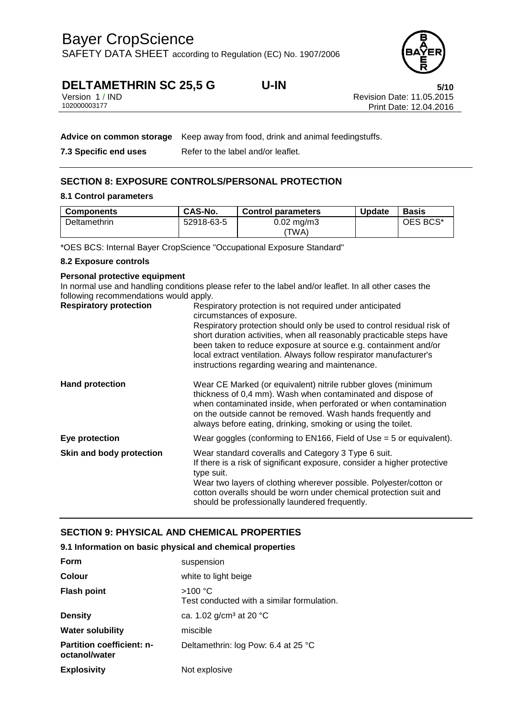SAFETY DATA SHEET according to Regulation (EC) No. 1907/2006

# **DELTAMETHRIN SC 25,5 G U-IN 5/10**

Revision Date: 11.05.2015 Print Date: 12.04.2016

| Version 1 / IND |  |
|-----------------|--|
| 102000003177    |  |

|                       | Advice on common storage Keep away from food, drink and animal feedingstuffs. |
|-----------------------|-------------------------------------------------------------------------------|
| 7.3 Specific end uses | Refer to the label and/or leaflet.                                            |

## **SECTION 8: EXPOSURE CONTROLS/PERSONAL PROTECTION**

#### **8.1 Control parameters**

| <b>Components</b> | CAS-No.    | <b>Control parameters</b>     | <b>Update</b> | Basis    |
|-------------------|------------|-------------------------------|---------------|----------|
| Deltamethrin      | 52918-63-5 | $0.02 \text{ mg/m}$ 3<br>ΈWΑ) |               | OES BCS* |

\*OES BCS: Internal Bayer CropScience "Occupational Exposure Standard"

#### **8.2 Exposure controls**

### **Personal protective equipment**

In normal use and handling conditions please refer to the label and/or leaflet. In all other cases the following recommendations would apply.

| <b>Respiratory protection</b> | Respiratory protection is not required under anticipated<br>circumstances of exposure.<br>Respiratory protection should only be used to control residual risk of<br>short duration activities, when all reasonably practicable steps have<br>been taken to reduce exposure at source e.g. containment and/or<br>local extract ventilation. Always follow respirator manufacturer's<br>instructions regarding wearing and maintenance. |
|-------------------------------|---------------------------------------------------------------------------------------------------------------------------------------------------------------------------------------------------------------------------------------------------------------------------------------------------------------------------------------------------------------------------------------------------------------------------------------|
| <b>Hand protection</b>        | Wear CE Marked (or equivalent) nitrile rubber gloves (minimum<br>thickness of 0,4 mm). Wash when contaminated and dispose of<br>when contaminated inside, when perforated or when contamination<br>on the outside cannot be removed. Wash hands frequently and<br>always before eating, drinking, smoking or using the toilet.                                                                                                        |
| Eye protection                | Wear goggles (conforming to EN166, Field of Use $=$ 5 or equivalent).                                                                                                                                                                                                                                                                                                                                                                 |
| Skin and body protection      | Wear standard coveralls and Category 3 Type 6 suit.<br>If there is a risk of significant exposure, consider a higher protective<br>type suit.<br>Wear two layers of clothing wherever possible. Polyester/cotton or<br>cotton overalls should be worn under chemical protection suit and<br>should be professionally laundered frequently.                                                                                            |

### **SECTION 9: PHYSICAL AND CHEMICAL PROPERTIES**

| 9.1 Information on basic physical and chemical properties |  |  |  |
|-----------------------------------------------------------|--|--|--|
|                                                           |  |  |  |

| Form                                              | suspension                                            |
|---------------------------------------------------|-------------------------------------------------------|
| <b>Colour</b>                                     | white to light beige                                  |
| <b>Flash point</b>                                | >100 °C<br>Test conducted with a similar formulation. |
| <b>Density</b>                                    | ca. 1.02 $g/cm^3$ at 20 °C                            |
| <b>Water solubility</b>                           | miscible                                              |
| <b>Partition coefficient: n-</b><br>octanol/water | Deltamethrin: log Pow: 6.4 at 25 °C                   |
| <b>Explosivity</b>                                | Not explosive                                         |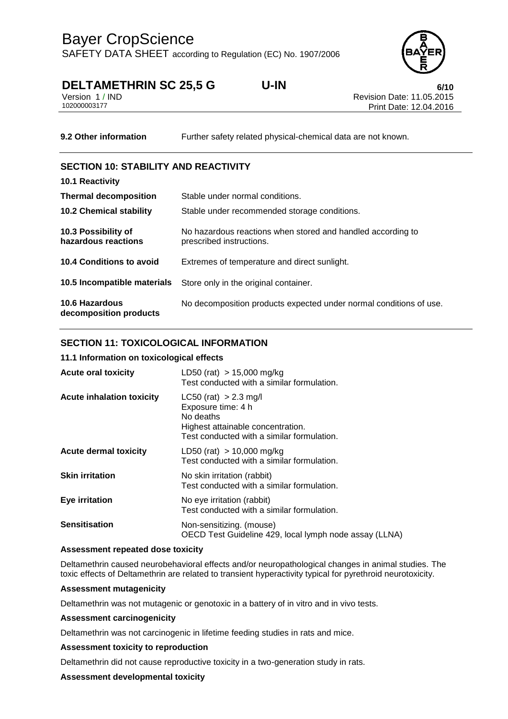

# **DELTAMETHRIN SC 25,5 G U-IN 6/10**

| Version 1 / IND |  |  |
|-----------------|--|--|
| 102000003177    |  |  |

Revision Date: 11.05.2015 Print Date: 12.04.2016

**9.2 Other information** Further safety related physical-chemical data are not known.

### **SECTION 10: STABILITY AND REACTIVITY**

| 10.1 Reactivity                                 |                                                                                         |
|-------------------------------------------------|-----------------------------------------------------------------------------------------|
| <b>Thermal decomposition</b>                    | Stable under normal conditions.                                                         |
| <b>10.2 Chemical stability</b>                  | Stable under recommended storage conditions.                                            |
| 10.3 Possibility of<br>hazardous reactions      | No hazardous reactions when stored and handled according to<br>prescribed instructions. |
| 10.4 Conditions to avoid                        | Extremes of temperature and direct sunlight.                                            |
| 10.5 Incompatible materials                     | Store only in the original container.                                                   |
| <b>10.6 Hazardous</b><br>decomposition products | No decomposition products expected under normal conditions of use.                      |

### **SECTION 11: TOXICOLOGICAL INFORMATION**

### **11.1 Information on toxicological effects**

| <b>Acute oral toxicity</b>       | LD50 (rat) $> 15,000$ mg/kg<br>Test conducted with a similar formulation.                                                                       |
|----------------------------------|-------------------------------------------------------------------------------------------------------------------------------------------------|
| <b>Acute inhalation toxicity</b> | $LC50$ (rat) $> 2.3$ mg/l<br>Exposure time: 4 h<br>No deaths<br>Highest attainable concentration.<br>Test conducted with a similar formulation. |
| <b>Acute dermal toxicity</b>     | LD50 (rat) $> 10,000$ mg/kg<br>Test conducted with a similar formulation.                                                                       |
| <b>Skin irritation</b>           | No skin irritation (rabbit)<br>Test conducted with a similar formulation.                                                                       |
| Eye irritation                   | No eye irritation (rabbit)<br>Test conducted with a similar formulation.                                                                        |
| <b>Sensitisation</b>             | Non-sensitizing. (mouse)<br>OECD Test Guideline 429, local lymph node assay (LLNA)                                                              |

#### **Assessment repeated dose toxicity**

Deltamethrin caused neurobehavioral effects and/or neuropathological changes in animal studies. The toxic effects of Deltamethrin are related to transient hyperactivity typical for pyrethroid neurotoxicity.

#### **Assessment mutagenicity**

Deltamethrin was not mutagenic or genotoxic in a battery of in vitro and in vivo tests.

#### **Assessment carcinogenicity**

Deltamethrin was not carcinogenic in lifetime feeding studies in rats and mice.

### **Assessment toxicity to reproduction**

Deltamethrin did not cause reproductive toxicity in a two-generation study in rats.

### **Assessment developmental toxicity**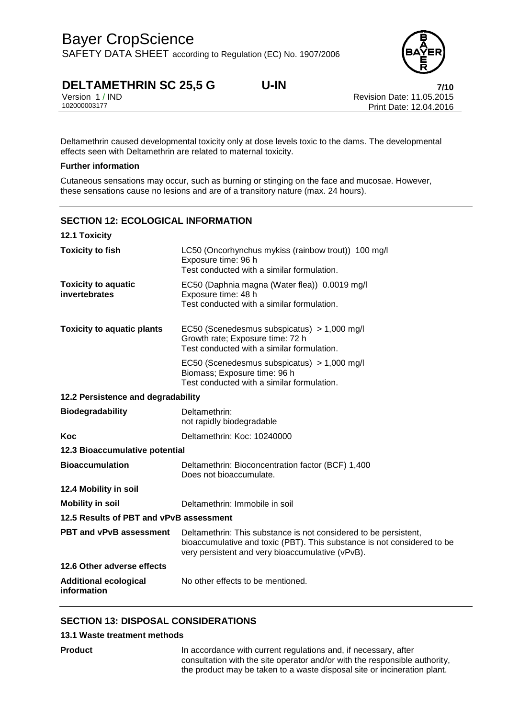

# **DELTAMETHRIN SC 25,5 G U-IN**<br>Version 1/IND **Revision Date: 11.05.2015**

Version 1 / IND<br>10200003177<br>Print Date: 12 04 2016 Print Date: 12.04.2016

Deltamethrin caused developmental toxicity only at dose levels toxic to the dams. The developmental effects seen with Deltamethrin are related to maternal toxicity.

#### **Further information**

Cutaneous sensations may occur, such as burning or stinging on the face and mucosae. However, these sensations cause no lesions and are of a transitory nature (max. 24 hours).

# **SECTION 12: ECOLOGICAL INFORMATION 12.1 Toxicity Toxicity to fish** LC50 (Oncorhynchus mykiss (rainbow trout)) 100 mg/l Exposure time: 96 h Test conducted with a similar formulation. **Toxicity to aquatic invertebrates** EC50 (Daphnia magna (Water flea)) 0.0019 mg/l Exposure time: 48 h Test conducted with a similar formulation. **Toxicity to aquatic plants** EC50 (Scenedesmus subspicatus) > 1,000 mg/l Growth rate; Exposure time: 72 h Test conducted with a similar formulation. EC50 (Scenedesmus subspicatus) > 1,000 mg/l Biomass; Exposure time: 96 h Test conducted with a similar formulation. **12.2 Persistence and degradability** not rapidly biodegradable Does not bioaccumulate.

**Biodegradability** Deltamethrin: **Koc** Deltamethrin: Koc: 10240000 **12.3 Bioaccumulative potential Bioaccumulation** Deltamethrin: Bioconcentration factor (BCF) 1,400 **12.4 Mobility in soil Mobility in soil** Deltamethrin: Immobile in soil **12.5 Results of PBT and vPvB assessment PBT and vPvB assessment** Deltamethrin: This substance is not considered to be persistent, bioaccumulative and toxic (PBT). This substance is not considered to be very persistent and very bioaccumulative (vPvB). **12.6 Other adverse effects Additional ecological information** No other effects to be mentioned.

### **SECTION 13: DISPOSAL CONSIDERATIONS**

#### **13.1 Waste treatment methods**

**Product In accordance with current regulations and, if necessary, after** consultation with the site operator and/or with the responsible authority, the product may be taken to a waste disposal site or incineration plant.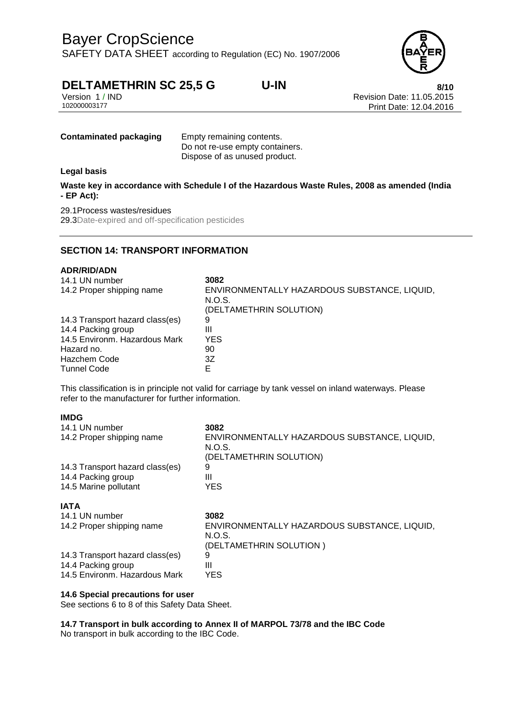SAFETY DATA SHEET according to Regulation (EC) No. 1907/2006



# **DELTAMETHRIN SC 25,5 G U-IN**<br>Version 1/IND **8/10**<br>Revision Date: 11.05.2015

Version 1 / IND<br>10200003177<br>Print Date: 12 04 2016 Print Date: 12.04.2016

**Contaminated packaging Empty remaining contents.** 

Do not re-use empty containers. Dispose of as unused product.

#### **Legal basis**

**Waste key in accordance with Schedule I of the Hazardous Waste Rules, 2008 as amended (India - EP Act):**

### 29.1Process wastes/residues

29.3Date-expired and off-specification pesticides

### **SECTION 14: TRANSPORT INFORMATION**

#### **ADR/RID/ADN**

| 14.1 UN number<br>14.2 Proper shipping name | 3082<br>ENVIRONMENTALLY HAZARDOUS SUBSTANCE, LIQUID,<br>N.O.S.<br>(DELTAMETHRIN SOLUTION) |
|---------------------------------------------|-------------------------------------------------------------------------------------------|
| 14.3 Transport hazard class(es)             | 9                                                                                         |
| 14.4 Packing group                          | Ш                                                                                         |
| 14.5 Environm. Hazardous Mark               | <b>YES</b>                                                                                |
| Hazard no.                                  | 90                                                                                        |
| <b>Hazchem Code</b>                         | 3Ζ                                                                                        |
| <b>Tunnel Code</b>                          | F                                                                                         |

This classification is in principle not valid for carriage by tank vessel on inland waterways. Please refer to the manufacturer for further information.

#### **IMDG**

| 14.1 UN number                  | 3082                                         |
|---------------------------------|----------------------------------------------|
| 14.2 Proper shipping name       | ENVIRONMENTALLY HAZARDOUS SUBSTANCE, LIQUID, |
|                                 | N.O.S.                                       |
|                                 | (DELTAMETHRIN SOLUTION)                      |
| 14.3 Transport hazard class(es) | 9                                            |
| 14.4 Packing group              | Ш                                            |
| 14.5 Marine pollutant           | YES.                                         |
| <b>IATA</b>                     |                                              |
| 14.1 UN number                  | 3082                                         |
| 14.2 Proper shipping name       | ENVIRONMENTALLY HAZARDOUS SUBSTANCE, LIQUID, |
|                                 | N.O.S.                                       |
|                                 | (DELTAMETHRIN SOLUTION)                      |
| 14.3 Transport hazard class(es) | 9                                            |
| 14.4 Packing group              | Ш                                            |
| 14.5 Environm. Hazardous Mark   | YES                                          |

#### **14.6 Special precautions for user**

See sections 6 to 8 of this Safety Data Sheet.

**14.7 Transport in bulk according to Annex II of MARPOL 73/78 and the IBC Code** No transport in bulk according to the IBC Code.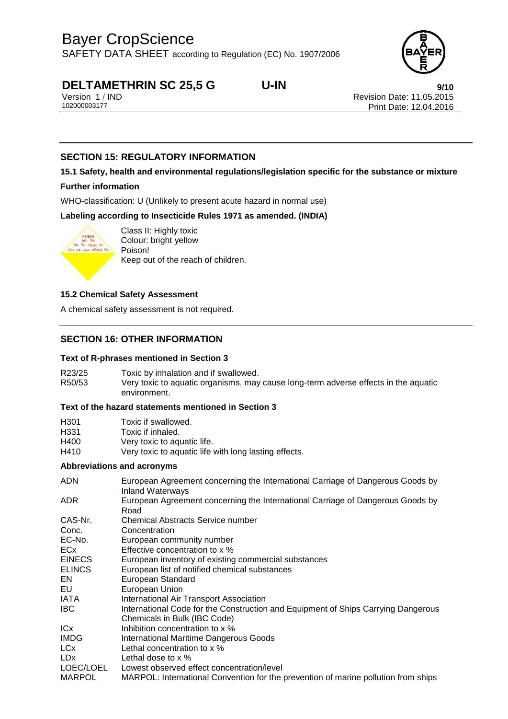SAFETY DATA SHEET according to Regulation (EC) No. 1907/2006



# **DELTAMETHRIN SC 25,5 G U-IN**<br>Version 1/IND<br>Revision Date: 11.05.2015

Version 1 / IND<br>10200003177<br>Print Date: 12 04 2016 Print Date: 12.04.2016

### **SECTION 15: REGULATORY INFORMATION**

## **15.1 Safety, health and environmental regulations/legislation specific for the substance or mixture**

#### **Further information**

WHO-classification: U (Unlikely to present acute hazard in normal use)

**Labeling according to Insecticide Rules 1971 as amended. (INDIA)**



Class II: Highly toxic Colour: bright yellow Poison! Keep out of the reach of children.

#### **15.2 Chemical Safety Assessment**

A chemical safety assessment is not required.

### **SECTION 16: OTHER INFORMATION**

#### **Text of R-phrases mentioned in Section 3**

R23/25 Toxic by inhalation and if swallowed. R50/53 Very toxic to aquatic organisms, may cause long-term adverse effects in the aquatic environment.

#### **Text of the hazard statements mentioned in Section 3**

| H301 | Toxic if swallowed.                                   |
|------|-------------------------------------------------------|
| H331 | Toxic if inhaled.                                     |
| H400 | Very toxic to aquatic life.                           |
| H410 | Very toxic to aquatic life with long lasting effects. |

#### **Abbreviations and acronyms**

| <b>ADN</b>      | European Agreement concerning the International Carriage of Dangerous Goods by<br><b>Inland Waterways</b> |
|-----------------|-----------------------------------------------------------------------------------------------------------|
| ADR.            | European Agreement concerning the International Carriage of Dangerous Goods by<br>Road                    |
| CAS-Nr.         | <b>Chemical Abstracts Service number</b>                                                                  |
| Conc.           | Concentration                                                                                             |
| EC-No.          | European community number                                                                                 |
| <b>ECx</b>      | Effective concentration to x %                                                                            |
| <b>EINECS</b>   | European inventory of existing commercial substances                                                      |
| <b>ELINCS</b>   | European list of notified chemical substances                                                             |
| EN.             | European Standard                                                                                         |
| EU              | European Union                                                                                            |
| IATA            | International Air Transport Association                                                                   |
| IBC.            | International Code for the Construction and Equipment of Ships Carrying Dangerous                         |
|                 | Chemicals in Bulk (IBC Code)                                                                              |
| IC <sub>x</sub> | Inhibition concentration to x %                                                                           |
| <b>IMDG</b>     | <b>International Maritime Dangerous Goods</b>                                                             |
| LC <sub>x</sub> | Lethal concentration to x %                                                                               |
| <b>LDx</b>      | Lethal dose to $\times$ %                                                                                 |
| LOEC/LOEL       | Lowest observed effect concentration/level                                                                |
| <b>MARPOL</b>   | MARPOL: International Convention for the prevention of marine pollution from ships                        |